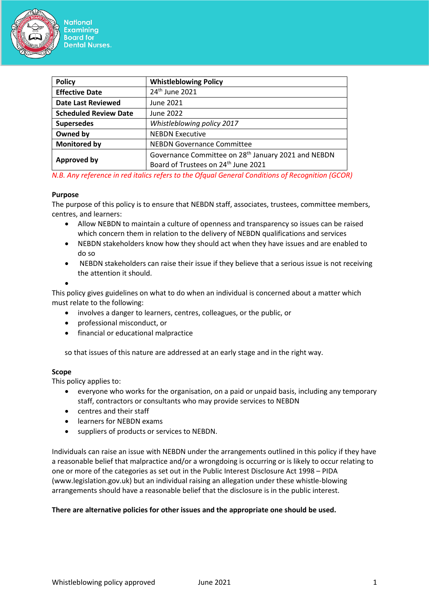

| <b>Policy</b><br><b>Whistleblowing Policy</b><br>24 <sup>th</sup> June 2021<br><b>Effective Date</b><br><b>Date Last Reviewed</b><br>June 2021<br><b>Scheduled Review Date</b><br>June 2022<br>Whistleblowing policy 2017<br><b>Supersedes</b><br>Owned by<br><b>NEBDN Executive</b><br><b>Monitored by</b><br><b>NEBDN Governance Committee</b><br>Governance Committee on 28 <sup>th</sup> January 2021 and NEBDN<br><b>Approved by</b> |                                                 |  |
|-------------------------------------------------------------------------------------------------------------------------------------------------------------------------------------------------------------------------------------------------------------------------------------------------------------------------------------------------------------------------------------------------------------------------------------------|-------------------------------------------------|--|
|                                                                                                                                                                                                                                                                                                                                                                                                                                           |                                                 |  |
|                                                                                                                                                                                                                                                                                                                                                                                                                                           |                                                 |  |
|                                                                                                                                                                                                                                                                                                                                                                                                                                           |                                                 |  |
|                                                                                                                                                                                                                                                                                                                                                                                                                                           |                                                 |  |
|                                                                                                                                                                                                                                                                                                                                                                                                                                           |                                                 |  |
|                                                                                                                                                                                                                                                                                                                                                                                                                                           |                                                 |  |
|                                                                                                                                                                                                                                                                                                                                                                                                                                           |                                                 |  |
|                                                                                                                                                                                                                                                                                                                                                                                                                                           | Board of Trustees on 24 <sup>th</sup> June 2021 |  |

*N.B. Any reference in red italics refers to the Ofqual General Conditions of Recognition (GCOR)*

#### **Purpose**

The purpose of this policy is to ensure that NEBDN staff, associates, trustees, committee members, centres, and learners:

- Allow NEBDN to maintain a culture of openness and transparency so issues can be raised which concern them in relation to the delivery of NEBDN qualifications and services
- NEBDN stakeholders know how they should act when they have issues and are enabled to do so
- NEBDN stakeholders can raise their issue if they believe that a serious issue is not receiving the attention it should.

•

This policy gives guidelines on what to do when an individual is concerned about a matter which must relate to the following:

- involves a danger to learners, centres, colleagues, or the public, or
- professional misconduct, or
- financial or educational malpractice

so that issues of this nature are addressed at an early stage and in the right way.

#### **Scope**

This policy applies to:

- everyone who works for the organisation, on a paid or unpaid basis, including any temporary staff, contractors or consultants who may provide services to NEBDN
- centres and their staff
- learners for NEBDN exams
- suppliers of products or services to NEBDN.

Individuals can raise an issue with NEBDN under the arrangements outlined in this policy if they have a reasonable belief that malpractice and/or a wrongdoing is occurring or is likely to occur relating to one or more of the categories as set out in the Public Interest Disclosure Act 1998 – PIDA (www.legislation.gov.uk) but an individual raising an allegation under these whistle-blowing arrangements should have a reasonable belief that the disclosure is in the public interest.

#### **There are alternative policies for other issues and the appropriate one should be used.**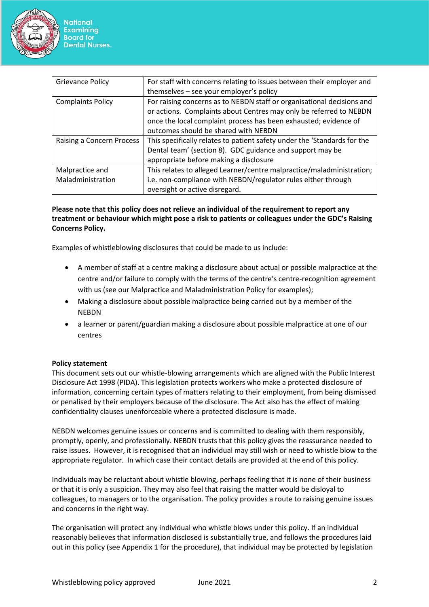

| <b>Grievance Policy</b>   | For staff with concerns relating to issues between their employer and    |  |
|---------------------------|--------------------------------------------------------------------------|--|
|                           |                                                                          |  |
|                           | themselves - see your employer's policy                                  |  |
| <b>Complaints Policy</b>  | For raising concerns as to NEBDN staff or organisational decisions and   |  |
|                           | or actions. Complaints about Centres may only be referred to NEBDN       |  |
|                           | once the local complaint process has been exhausted; evidence of         |  |
|                           | outcomes should be shared with NEBDN                                     |  |
| Raising a Concern Process | This specifically relates to patient safety under the 'Standards for the |  |
|                           | Dental team' (section 8). GDC guidance and support may be                |  |
|                           | appropriate before making a disclosure                                   |  |
| Malpractice and           | This relates to alleged Learner/centre malpractice/maladministration;    |  |
| Maladministration         | i.e. non-compliance with NEBDN/regulator rules either through            |  |
|                           | oversight or active disregard.                                           |  |

# **Please note that this policy does not relieve an individual of the requirement to report any treatment or behaviour which might pose a risk to patients or colleagues under the GDC's Raising Concerns Policy.**

Examples of whistleblowing disclosures that could be made to us include:

- A member of staff at a centre making a disclosure about actual or possible malpractice at the centre and/or failure to comply with the terms of the centre's centre-recognition agreement with us (see our Malpractice and Maladministration Policy for examples);
- Making a disclosure about possible malpractice being carried out by a member of the NEBDN
- a learner or parent/guardian making a disclosure about possible malpractice at one of our centres

# **Policy statement**

This document sets out our whistle-blowing arrangements which are aligned with the Public Interest Disclosure Act 1998 (PIDA). This legislation protects workers who make a protected disclosure of information, concerning certain types of matters relating to their employment, from being dismissed or penalised by their employers because of the disclosure. The Act also has the effect of making confidentiality clauses unenforceable where a protected disclosure is made.

NEBDN welcomes genuine issues or concerns and is committed to dealing with them responsibly, promptly, openly, and professionally. NEBDN trusts that this policy gives the reassurance needed to raise issues. However, it is recognised that an individual may still wish or need to whistle blow to the appropriate regulator. In which case their contact details are provided at the end of this policy.

Individuals may be reluctant about whistle blowing, perhaps feeling that it is none of their business or that it is only a suspicion. They may also feel that raising the matter would be disloyal to colleagues, to managers or to the organisation. The policy provides a route to raising genuine issues and concerns in the right way.

The organisation will protect any individual who whistle blows under this policy. If an individual reasonably believes that information disclosed is substantially true, and follows the procedures laid out in this policy (see Appendix 1 for the procedure), that individual may be protected by legislation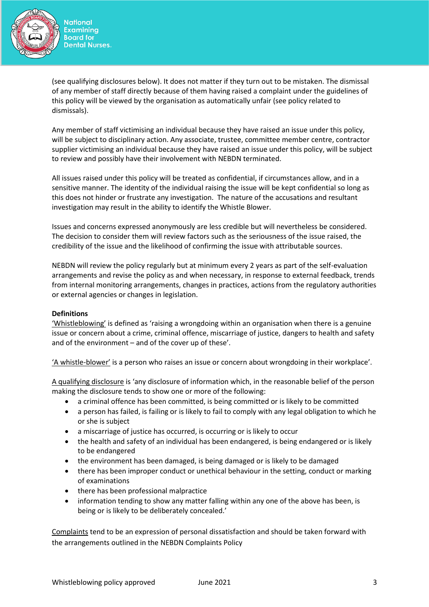

(see qualifying disclosures below). It does not matter if they turn out to be mistaken. The dismissal of any member of staff directly because of them having raised a complaint under the guidelines of this policy will be viewed by the organisation as automatically unfair (see policy related to dismissals).

Any member of staff victimising an individual because they have raised an issue under this policy, will be subject to disciplinary action. Any associate, trustee, committee member centre, contractor supplier victimising an individual because they have raised an issue under this policy, will be subject to review and possibly have their involvement with NEBDN terminated.

All issues raised under this policy will be treated as confidential, if circumstances allow, and in a sensitive manner. The identity of the individual raising the issue will be kept confidential so long as this does not hinder or frustrate any investigation. The nature of the accusations and resultant investigation may result in the ability to identify the Whistle Blower.

Issues and concerns expressed anonymously are less credible but will nevertheless be considered. The decision to consider them will review factors such as the seriousness of the issue raised, the credibility of the issue and the likelihood of confirming the issue with attributable sources.

NEBDN will review the policy regularly but at minimum every 2 years as part of the self-evaluation arrangements and revise the policy as and when necessary, in response to external feedback, trends from internal monitoring arrangements, changes in practices, actions from the regulatory authorities or external agencies or changes in legislation.

# **Definitions**

'Whistleblowing' is defined as 'raising a wrongdoing within an organisation when there is a genuine issue or concern about a crime, criminal offence, miscarriage of justice, dangers to health and safety and of the environment – and of the cover up of these'.

'A whistle-blower' is a person who raises an issue or concern about wrongdoing in their workplace'.

A qualifying disclosure is 'any disclosure of information which, in the reasonable belief of the person making the disclosure tends to show one or more of the following:

- a criminal offence has been committed, is being committed or is likely to be committed
- a person has failed, is failing or is likely to fail to comply with any legal obligation to which he or she is subject
- a miscarriage of justice has occurred, is occurring or is likely to occur
- the health and safety of an individual has been endangered, is being endangered or is likely to be endangered
- the environment has been damaged, is being damaged or is likely to be damaged
- there has been improper conduct or unethical behaviour in the setting, conduct or marking of examinations
- there has been professional malpractice
- information tending to show any matter falling within any one of the above has been, is being or is likely to be deliberately concealed.'

Complaints tend to be an expression of personal dissatisfaction and should be taken forward with the arrangements outlined in the NEBDN Complaints Policy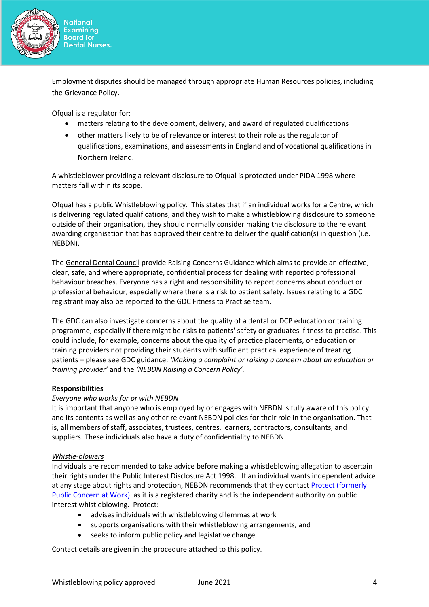

Employment disputes should be managed through appropriate Human Resources policies, including the Grievance Policy.

Ofqual is a regulator for:

- matters relating to the development, delivery, and award of regulated qualifications
- other matters likely to be of relevance or interest to their role as the regulator of qualifications, examinations, and assessments in England and of vocational qualifications in Northern Ireland.

A whistleblower providing a relevant disclosure to Ofqual is protected under PIDA 1998 where matters fall within its scope.

Ofqual has a public Whistleblowing policy. This states that if an individual works for a Centre, which is delivering regulated qualifications, and they wish to make a whistleblowing disclosure to someone outside of their organisation, they should normally consider making the disclosure to the relevant awarding organisation that has approved their centre to deliver the qualification(s) in question (i.e. NEBDN).

The General Dental Council provide Raising Concerns Guidance which aims to provide an effective, clear, safe, and where appropriate, confidential process for dealing with reported professional behaviour breaches. Everyone has a right and responsibility to report concerns about conduct or professional behaviour, especially where there is a risk to patient safety. Issues relating to a GDC registrant may also be reported to the GDC Fitness to Practise team.

The GDC can also investigate concerns about the quality of a dental or DCP education or training programme, especially if there might be risks to patients' safety or graduates' fitness to practise. This could include, for example, concerns about the quality of practice placements, or education or training providers not providing their students with sufficient practical experience of treating patients – please see GDC guidance: *'Making a complaint or raising a concern about an education or training provider'* and the *'NEBDN Raising a Concern Policy'.*

# **Responsibilities**

# *Everyone who works for or with NEBDN*

It is important that anyone who is employed by or engages with NEBDN is fully aware of this policy and its contents as well as any other relevant NEBDN policies for their role in the organisation. That is, all members of staff, associates, trustees, centres, learners, contractors, consultants, and suppliers. These individuals also have a duty of confidentiality to NEBDN.

# *Whistle-blowers*

Individuals are recommended to take advice before making a whistleblowing allegation to ascertain their rights under the Public Interest Disclosure Act 1998. If an individual wants independent advice at any stage about rights and protection, NEBDN recommends that they contact [Protect \(formerly](https://protect-advice.org.uk/homepage/)  [Public Concern at Work\)](https://protect-advice.org.uk/homepage/) as it is a registered charity and is the independent authority on public interest whistleblowing. Protect:

- advises individuals with whistleblowing dilemmas at work
- supports organisations with their whistleblowing arrangements, and
- seeks to inform public policy and legislative change.

Contact details are given in the procedure attached to this policy.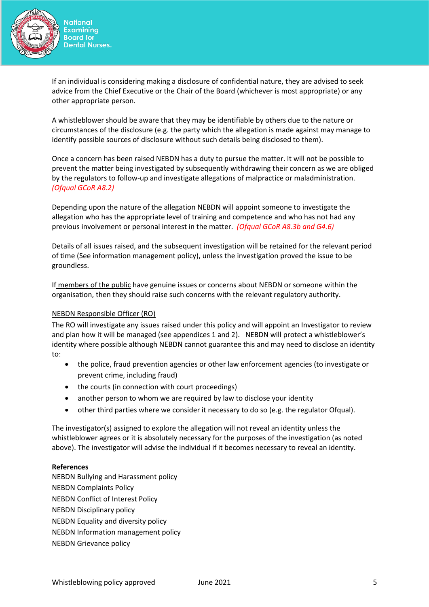

If an individual is considering making a disclosure of confidential nature, they are advised to seek advice from the Chief Executive or the Chair of the Board (whichever is most appropriate) or any other appropriate person.

A whistleblower should be aware that they may be identifiable by others due to the nature or circumstances of the disclosure (e.g. the party which the allegation is made against may manage to identify possible sources of disclosure without such details being disclosed to them).

Once a concern has been raised NEBDN has a duty to pursue the matter. It will not be possible to prevent the matter being investigated by subsequently withdrawing their concern as we are obliged by the regulators to follow-up and investigate allegations of malpractice or maladministration. *(Ofqual GCoR A8.2)*

Depending upon the nature of the allegation NEBDN will appoint someone to investigate the allegation who has the appropriate level of training and competence and who has not had any previous involvement or personal interest in the matter. *(Ofqual GCoR A8.3b and G4.6)*

Details of all issues raised, and the subsequent investigation will be retained for the relevant period of time (See information management policy), unless the investigation proved the issue to be groundless.

If members of the public have genuine issues or concerns about NEBDN or someone within the organisation, then they should raise such concerns with the relevant regulatory authority.

#### NEBDN Responsible Officer (RO)

The RO will investigate any issues raised under this policy and will appoint an Investigator to review and plan how it will be managed (see appendices 1 and 2). NEBDN will protect a whistleblower's identity where possible although NEBDN cannot guarantee this and may need to disclose an identity to:

- the police, fraud prevention agencies or other law enforcement agencies (to investigate or prevent crime, including fraud)
- the courts (in connection with court proceedings)
- another person to whom we are required by law to disclose your identity
- other third parties where we consider it necessary to do so (e.g. the regulator Ofqual).

The investigator(s) assigned to explore the allegation will not reveal an identity unless the whistleblower agrees or it is absolutely necessary for the purposes of the investigation (as noted above). The investigator will advise the individual if it becomes necessary to reveal an identity.

#### **References**

NEBDN Bullying and Harassment policy NEBDN Complaints Policy NEBDN Conflict of Interest Policy NEBDN Disciplinary policy NEBDN Equality and diversity policy NEBDN Information management policy NEBDN Grievance policy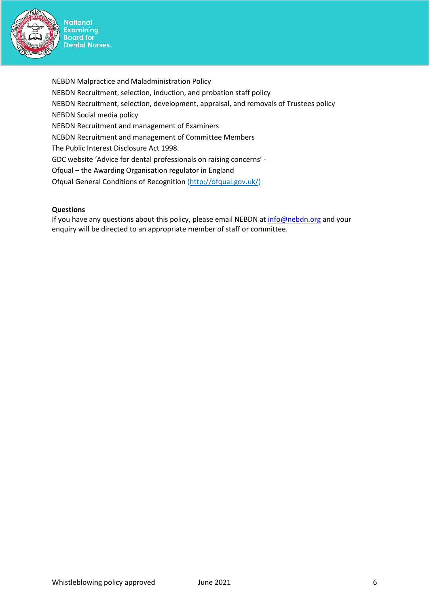

NEBDN Malpractice and Maladministration Policy NEBDN Recruitment, selection, induction, and probation staff policy NEBDN Recruitment, selection, development, appraisal, and removals of Trustees policy NEBDN Social media policy NEBDN Recruitment and management of Examiners NEBDN Recruitment and management of Committee Members The Public Interest Disclosure Act 1998. GDC website 'Advice for dental professionals on raising concerns' - Ofqual – the Awarding Organisation regulator in England Ofqual General Conditions of Recognition [\(http://ofqual.gov.uk/\)](http://ofqual.gov.uk/)

#### **Questions**

If you have any questions about this policy, please email NEBDN at [info@nebdn.org](mailto:info@nebdn.org) and your enquiry will be directed to an appropriate member of staff or committee.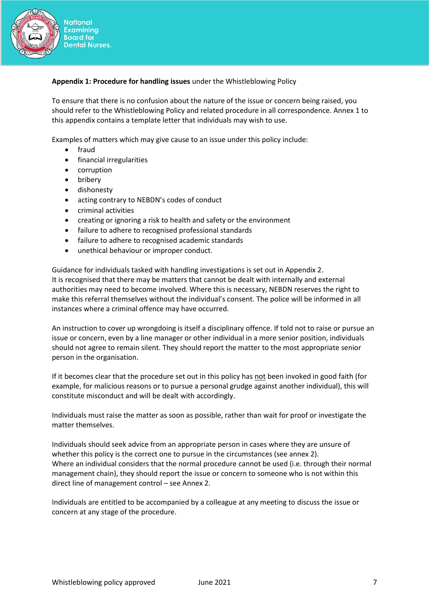

### **Appendix 1: Procedure for handling issues** under the Whistleblowing Policy

To ensure that there is no confusion about the nature of the issue or concern being raised, you should refer to the Whistleblowing Policy and related procedure in all correspondence. Annex 1 to this appendix contains a template letter that individuals may wish to use.

Examples of matters which may give cause to an issue under this policy include:

- fraud
- financial irregularities
- corruption
- bribery
- dishonesty
- acting contrary to NEBDN's codes of conduct
- criminal activities
- creating or ignoring a risk to health and safety or the environment
- failure to adhere to recognised professional standards
- failure to adhere to recognised academic standards
- unethical behaviour or improper conduct.

Guidance for individuals tasked with handling investigations is set out in Appendix 2. It is recognised that there may be matters that cannot be dealt with internally and external authorities may need to become involved. Where this is necessary, NEBDN reserves the right to make this referral themselves without the individual's consent. The police will be informed in all instances where a criminal offence may have occurred.

An instruction to cover up wrongdoing is itself a disciplinary offence. If told not to raise or pursue an issue or concern, even by a line manager or other individual in a more senior position, individuals should not agree to remain silent. They should report the matter to the most appropriate senior person in the organisation.

If it becomes clear that the procedure set out in this policy has not been invoked in good faith (for example, for malicious reasons or to pursue a personal grudge against another individual), this will constitute misconduct and will be dealt with accordingly.

Individuals must raise the matter as soon as possible, rather than wait for proof or investigate the matter themselves.

Individuals should seek advice from an appropriate person in cases where they are unsure of whether this policy is the correct one to pursue in the circumstances (see annex 2). Where an individual considers that the normal procedure cannot be used (i.e. through their normal management chain), they should report the issue or concern to someone who is not within this direct line of management control – see Annex 2.

Individuals are entitled to be accompanied by a colleague at any meeting to discuss the issue or concern at any stage of the procedure.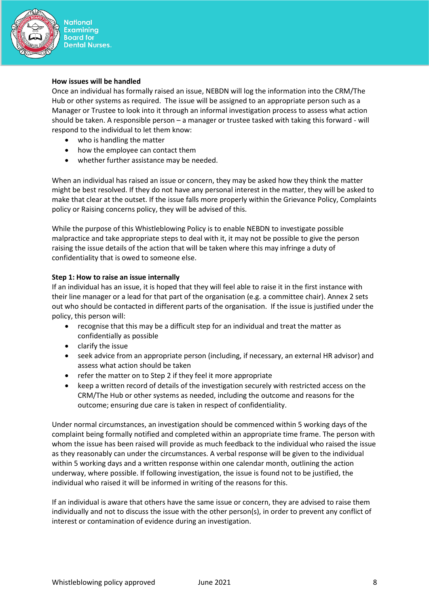

#### **How issues will be handled**

Once an individual has formally raised an issue, NEBDN will log the information into the CRM/The Hub or other systems as required. The issue will be assigned to an appropriate person such as a Manager or Trustee to look into it through an informal investigation process to assess what action should be taken. A responsible person – a manager or trustee tasked with taking this forward - will respond to the individual to let them know:

- who is handling the matter
- how the employee can contact them
- whether further assistance may be needed.

When an individual has raised an issue or concern, they may be asked how they think the matter might be best resolved. If they do not have any personal interest in the matter, they will be asked to make that clear at the outset. If the issue falls more properly within the Grievance Policy, Complaints policy or Raising concerns policy, they will be advised of this.

While the purpose of this Whistleblowing Policy is to enable NEBDN to investigate possible malpractice and take appropriate steps to deal with it, it may not be possible to give the person raising the issue details of the action that will be taken where this may infringe a duty of confidentiality that is owed to someone else.

#### **Step 1: How to raise an issue internally**

If an individual has an issue, it is hoped that they will feel able to raise it in the first instance with their line manager or a lead for that part of the organisation (e.g. a committee chair). Annex 2 sets out who should be contacted in different parts of the organisation. If the issue is justified under the policy, this person will:

- recognise that this may be a difficult step for an individual and treat the matter as confidentially as possible
- clarify the issue
- seek advice from an appropriate person (including, if necessary, an external HR advisor) and assess what action should be taken
- refer the matter on to Step 2 if they feel it more appropriate
- keep a written record of details of the investigation securely with restricted access on the CRM/The Hub or other systems as needed, including the outcome and reasons for the outcome; ensuring due care is taken in respect of confidentiality.

Under normal circumstances, an investigation should be commenced within 5 working days of the complaint being formally notified and completed within an appropriate time frame. The person with whom the issue has been raised will provide as much feedback to the individual who raised the issue as they reasonably can under the circumstances. A verbal response will be given to the individual within 5 working days and a written response within one calendar month, outlining the action underway, where possible. If following investigation, the issue is found not to be justified, the individual who raised it will be informed in writing of the reasons for this.

If an individual is aware that others have the same issue or concern, they are advised to raise them individually and not to discuss the issue with the other person(s), in order to prevent any conflict of interest or contamination of evidence during an investigation.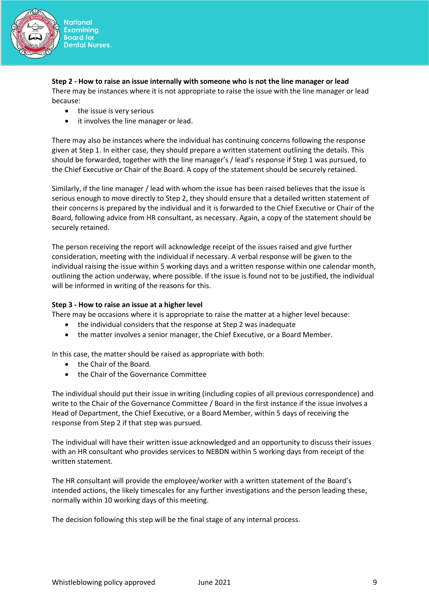

**Step 2 - How to raise an issue internally with someone who is not the line manager or lead** There may be instances where it is not appropriate to raise the issue with the line manager or lead because:

- the issue is very serious
- it involves the line manager or lead.

There may also be instances where the individual has continuing concerns following the response given at Step 1. In either case, they should prepare a written statement outlining the details. This should be forwarded, together with the line manager's / lead's response if Step 1 was pursued, to the Chief Executive or Chair of the Board. A copy of the statement should be securely retained.

Similarly, if the line manager / lead with whom the issue has been raised believes that the issue is serious enough to move directly to Step 2, they should ensure that a detailed written statement of their concerns is prepared by the individual and it is forwarded to the Chief Executive or Chair of the Board, following advice from HR consultant, as necessary. Again, a copy of the statement should be securely retained.

The person receiving the report will acknowledge receipt of the issues raised and give further consideration, meeting with the individual if necessary. A verbal response will be given to the individual raising the issue within 5 working days and a written response within one calendar month, outlining the action underway, where possible. If the issue is found not to be justified, the individual will be informed in writing of the reasons for this.

# **Step 3 - How to raise an issue at a higher level**

There may be occasions where it is appropriate to raise the matter at a higher level because:

- the individual considers that the response at Step 2 was inadequate
- the matter involves a senior manager, the Chief Executive, or a Board Member.

In this case, the matter should be raised as appropriate with both:

- the Chair of the Board.
- the Chair of the Governance Committee

The individual should put their issue in writing (including copies of all previous correspondence) and write to the Chair of the Governance Committee / Board in the first instance if the issue involves a Head of Department, the Chief Executive, or a Board Member, within 5 days of receiving the response from Step 2 if that step was pursued.

The individual will have their written issue acknowledged and an opportunity to discuss their issues with an HR consultant who provides services to NEBDN within 5 working days from receipt of the written statement.

The HR consultant will provide the employee/worker with a written statement of the Board's intended actions, the likely timescales for any further investigations and the person leading these, normally within 10 working days of this meeting.

The decision following this step will be the final stage of any internal process.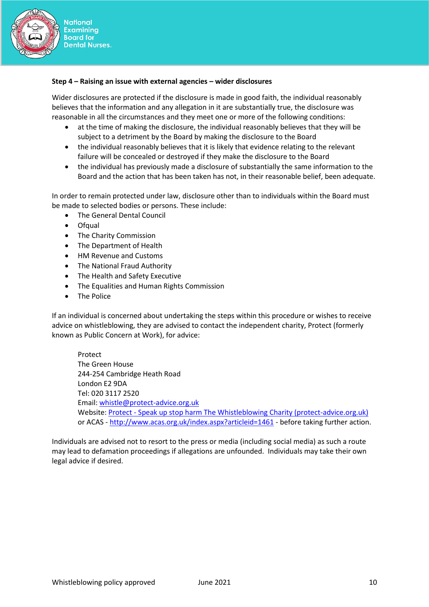

#### **Step 4 – Raising an issue with external agencies – wider disclosures**

Wider disclosures are protected if the disclosure is made in good faith, the individual reasonably believes that the information and any allegation in it are substantially true, the disclosure was reasonable in all the circumstances and they meet one or more of the following conditions:

- at the time of making the disclosure, the individual reasonably believes that they will be subject to a detriment by the Board by making the disclosure to the Board
- the individual reasonably believes that it is likely that evidence relating to the relevant failure will be concealed or destroyed if they make the disclosure to the Board
- the individual has previously made a disclosure of substantially the same information to the Board and the action that has been taken has not, in their reasonable belief, been adequate.

In order to remain protected under law, disclosure other than to individuals within the Board must be made to selected bodies or persons. These include:

- The General Dental Council
- Ofqual
- The Charity Commission
- The Department of Health
- HM Revenue and Customs
- The National Fraud Authority
- The Health and Safety Executive
- The Equalities and Human Rights Commission
- The Police

If an individual is concerned about undertaking the steps within this procedure or wishes to receive advice on whistleblowing, they are advised to contact the independent charity, Protect (formerly known as Public Concern at Work), for advice:

Protect The Green House 244-254 Cambridge Heath Road London E2 9DA Tel: 020 3117 2520 Email: [whistle@protect-advice.org.uk](mailto:whistle@protect-advice.org.uk) Website: Protect - [Speak up stop harm The Whistleblowing Charity \(protect-advice.org.uk\)](https://protect-advice.org.uk/) or ACAS - <http://www.acas.org.uk/index.aspx?articleid=1461> - before taking further action.

Individuals are advised not to resort to the press or media (including social media) as such a route may lead to defamation proceedings if allegations are unfounded. Individuals may take their own legal advice if desired.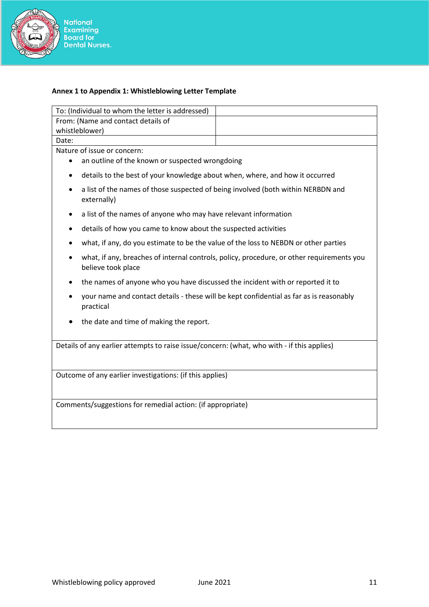

# National<br>Examining<br>Board for<br>Dental Nurses.

# **Annex 1 to Appendix 1: Whistleblowing Letter Template**

| To: (Individual to whom the letter is addressed)                                                                             |  |  |  |  |
|------------------------------------------------------------------------------------------------------------------------------|--|--|--|--|
| From: (Name and contact details of                                                                                           |  |  |  |  |
| whistleblower)                                                                                                               |  |  |  |  |
| Date:                                                                                                                        |  |  |  |  |
| Nature of issue or concern:                                                                                                  |  |  |  |  |
| an outline of the known or suspected wrongdoing                                                                              |  |  |  |  |
| details to the best of your knowledge about when, where, and how it occurred<br>٠                                            |  |  |  |  |
| a list of the names of those suspected of being involved (both within NERBDN and<br>externally)                              |  |  |  |  |
| a list of the names of anyone who may have relevant information<br>٠                                                         |  |  |  |  |
| details of how you came to know about the suspected activities<br>٠                                                          |  |  |  |  |
| what, if any, do you estimate to be the value of the loss to NEBDN or other parties                                          |  |  |  |  |
| what, if any, breaches of internal controls, policy, procedure, or other requirements you<br>$\bullet$<br>believe took place |  |  |  |  |
| the names of anyone who you have discussed the incident with or reported it to                                               |  |  |  |  |
| your name and contact details - these will be kept confidential as far as is reasonably<br>practical                         |  |  |  |  |
| the date and time of making the report.<br>٠                                                                                 |  |  |  |  |
| Details of any earlier attempts to raise issue/concern: (what, who with - if this applies)                                   |  |  |  |  |
| Outcome of any earlier investigations: (if this applies)                                                                     |  |  |  |  |
|                                                                                                                              |  |  |  |  |
| Comments/suggestions for remedial action: (if appropriate)                                                                   |  |  |  |  |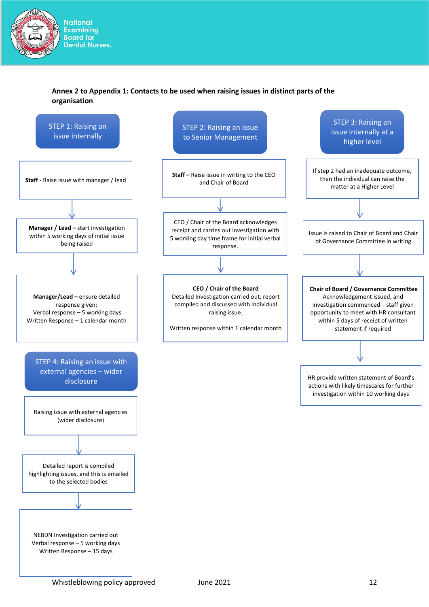

# **Annex 2 to Appendix 1: Contacts to be used when raising issues in distinct parts of the organisation**

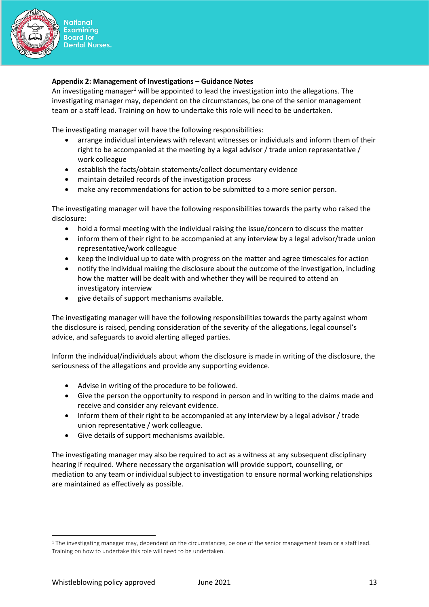

#### **Appendix 2: Management of Investigations – Guidance Notes**

An investigating manager<sup>1</sup> will be appointed to lead the investigation into the allegations. The investigating manager may, dependent on the circumstances, be one of the senior management team or a staff lead. Training on how to undertake this role will need to be undertaken.

The investigating manager will have the following responsibilities:

- arrange individual interviews with relevant witnesses or individuals and inform them of their right to be accompanied at the meeting by a legal advisor / trade union representative / work colleague
- establish the facts/obtain statements/collect documentary evidence
- maintain detailed records of the investigation process
- make any recommendations for action to be submitted to a more senior person.

The investigating manager will have the following responsibilities towards the party who raised the disclosure:

- hold a formal meeting with the individual raising the issue/concern to discuss the matter
- inform them of their right to be accompanied at any interview by a legal advisor/trade union representative/work colleague
- keep the individual up to date with progress on the matter and agree timescales for action
- notify the individual making the disclosure about the outcome of the investigation, including how the matter will be dealt with and whether they will be required to attend an investigatory interview
- give details of support mechanisms available.

The investigating manager will have the following responsibilities towards the party against whom the disclosure is raised, pending consideration of the severity of the allegations, legal counsel's advice, and safeguards to avoid alerting alleged parties.

Inform the individual/individuals about whom the disclosure is made in writing of the disclosure, the seriousness of the allegations and provide any supporting evidence.

- Advise in writing of the procedure to be followed.
- Give the person the opportunity to respond in person and in writing to the claims made and receive and consider any relevant evidence.
- Inform them of their right to be accompanied at any interview by a legal advisor / trade union representative / work colleague.
- Give details of support mechanisms available.

The investigating manager may also be required to act as a witness at any subsequent disciplinary hearing if required. Where necessary the organisation will provide support, counselling, or mediation to any team or individual subject to investigation to ensure normal working relationships are maintained as effectively as possible.

<sup>&</sup>lt;sup>1</sup> The investigating manager may, dependent on the circumstances, be one of the senior management team or a staff lead. Training on how to undertake this role will need to be undertaken.